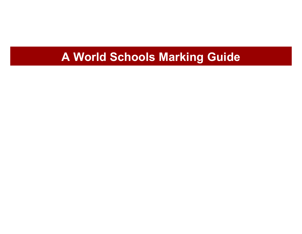## A World Schools Marking Guide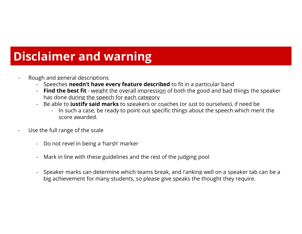# **Disclaimer and warning**

Rough and general descriptions

-

- Speeches **neednǷt have every feature described** to fit in a particular band
- **Find the best fit** weight the overall impression of both the good and bad things the speaker has done during the speech for each category
- - Be able to **justify said marks** to speakers or coaches (or just to ourselves), if need be
	- In such a case, be ready to point out specific things about the speech which merit the score awarded.
- - Use the full range of the scale
	- -Do not revel in being a 'harsh' marker
	- -Mark in line with these guidelines and the rest of the judging pool
	- Speaker marks can determine which teams break, and ranking well on a speaker tab can be a big achievement for many students, so please give speaks the thought they require.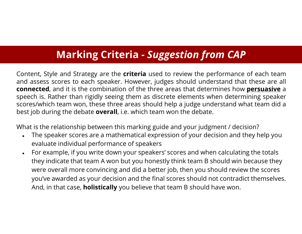### **Marking Criteria -** *Suggestion from CAP*

Content, Style and Strategy are the **criteria** used to review the performance of each team and assess scores to each speaker. However, judges should understand that these are all **connected**, and it is the combination of the three areas that determines how **persuasive** <sup>a</sup> speech is. Rather than rigidly seeing them as discrete elements when determining speaker scores/which team won, these three areas should help <sup>a</sup> judge understand what team did <sup>a</sup> best job during the debate **overall**, i.e. which team won the debate.

What is the relationship between this marking guide and your judgment / decision?

- $\bullet$  The speaker scores are a mathematical expression of your decision and they help you evaluate individual performance of speakers
- $\bullet$ For example, if you write down your speakers' scores and when calculating the totals they indicate that team A won but you honestly think team B should win because they were overall more convincing and did a better job, then you should review the scores you've awarded as your decision and the final scores should not contradict themselves. And, in that case, **holistically** you believe that team B should have won.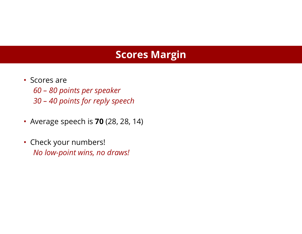#### **Scores Margin**

- Scores are *60 – 80 points per speaker 30 Dz40 points for reply speech*
- ǿ Average speech is **70** (28, 28, 14)
- Check your numbers! *No low-point wins, no draws!*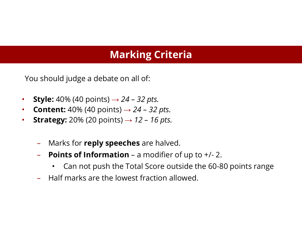#### **Marking Criteria**

You should judge a debate on all of:

- ǿ**Style:** 40% (40 points)  $\rightarrow$  24 – 32 pts.
- $\bullet$ **Content:**  $40\%$  (40 points)  $\rightarrow$  24 - 32 pts.
- ǿ**Strategy:** 20% (20 points)  $\rightarrow$  12 - 16 pts.
	- $\longrightarrow$ Marks for **reply speeches** are halved.
	- Dz**Points of Information** – a modifier of up to  $+/- 2$ .
		- ǿCan not push the Total Score outside the 60-80 points range
	- DzHalf marks are the lowest fraction allowed.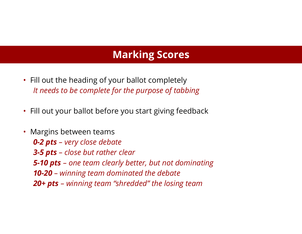#### **Marking Scores**

- $\cdot$  Fill out the heading of your ballot completely *It needs to be complete for the purpose of tabbing*
- $\bullet\;$  Fill out your ballot before you start giving feedback
- $\bullet\,$  Margins between teams *0 -2 pts Dz very close debate 3-5 pts – close but rather clear 5 -10 pts Dz one team clearly better, but not dominating 10-20 – winning team dominated the debate 20+ pts DzYinning Veam ǺUhreddedǻ Vhe loUing Veam*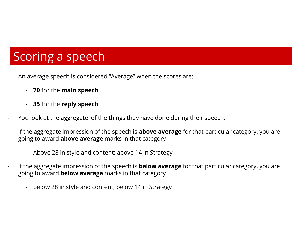# Scoring a speech

- An average speech is considered "Average" when the scores are:
	- 70 for the main speech
	- 35 for the reply speech
- You look at the aggregate of the things they have done during their speech.
- If the aggregate impression of the speech is **above average** for that particular category, you are going to award **above average** marks in that category
	- Above 28 in style and content; above 14 in Strategy
- If the aggregate impression of the speech is **below average** for that particular category, you are going to award **below average** marks in that category
	- below 28 in style and content; below 14 in Strategy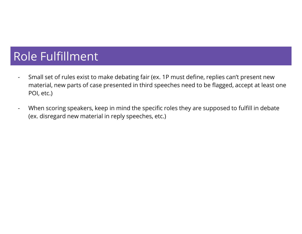## **Role Fulfillment**

- Small set of rules exist to make debating fair (ex. 1P must define, replies can't present new  $\blacksquare$ material, new parts of case presented in third speeches need to be flagged, accept at least one POI, etc.)
- When scoring speakers, keep in mind the specific roles they are supposed to fulfill in debate  $\blacksquare$ (ex. disregard new material in reply speeches, etc.)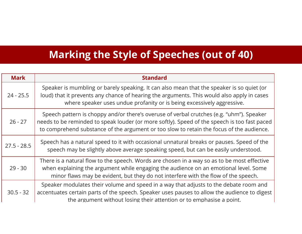### **Marking the Style of Speeches (out of 40)**

| <b>Mark</b>   | <b>Standard</b>                                                                                                                                                                                                                                                                      |
|---------------|--------------------------------------------------------------------------------------------------------------------------------------------------------------------------------------------------------------------------------------------------------------------------------------|
| $24 - 25.5$   | Speaker is mumbling or barely speaking. It can also mean that the speaker is so quiet (or<br>loud) that it prevents any chance of hearing the arguments. This would also apply in cases<br>where speaker uses undue profanity or is being excessively aggressive.                    |
| $26 - 27$     | Speech pattern is choppy and/or there's overuse of verbal crutches (e.g. "uhm"). Speaker<br>needs to be reminded to speak louder (or more softly). Speed of the speech is too fast paced<br>to comprehend substance of the argument or too slow to retain the focus of the audience. |
| $27.5 - 28.5$ | Speech has a natural speed to it with occasional unnatural breaks or pauses. Speed of the<br>speech may be slightly above average speaking speed, but can be easily understood.                                                                                                      |
| $29 - 30$     | There is a natural flow to the speech. Words are chosen in a way so as to be most effective<br>when explaining the argument while engaging the audience on an emotional level. Some<br>minor flaws may be evident, but they do not interfere with the flow of the speech.            |
| $30.5 - 32$   | Speaker modulates their volume and speed in a way that adjusts to the debate room and<br>accentuates certain parts of the speech. Speaker uses pauses to allow the audience to digest<br>the argument without losing their attention or to emphasise a point.                        |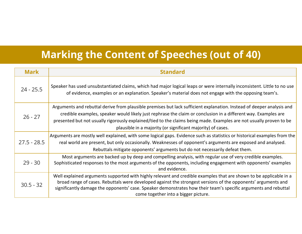### **Marking the Content of Speeches (out of 40)**

| <b>Mark</b>   | <b>Standard</b>                                                                                                                                                                                                                                                                                                                                                                                                               |
|---------------|-------------------------------------------------------------------------------------------------------------------------------------------------------------------------------------------------------------------------------------------------------------------------------------------------------------------------------------------------------------------------------------------------------------------------------|
| $24 - 25.5$   | Speaker has used unsubstantiated claims, which had major logical leaps or were internally inconsistent. Little to no use<br>of evidence, examples or an explanation. Speaker's material does not engage with the opposing team's.                                                                                                                                                                                             |
| $26 - 27$     | Arguments and rebuttal derive from plausible premises but lack sufficient explanation. Instead of deeper analysis and<br>credible examples, speaker would likely just rephrase the claim or conclusion in a different way. Examples are<br>presented but not usually rigorously explained/tied to the claims being made. Examples are not usually proven to be<br>plausible in a majority (or significant majority) of cases. |
| $27.5 - 28.5$ | Arguments are mostly well explained, with some logical gaps. Evidence such as statistics or historical examples from the<br>real world are present, but only occasionally. Weaknesses of opponent's arguments are exposed and analysed.<br>Rebuttals mitigate opponents' arguments but do not necessarily defeat them.                                                                                                        |
| $29 - 30$     | Most arguments are backed up by deep and compelling analysis, with regular use of very credible examples.<br>Sophisticated responses to the most arguments of the opponents, including engagement with opponents' examples<br>and evidence.                                                                                                                                                                                   |
| $30.5 - 32$   | Well explained arguments supported with highly relevant and credible examples that are shown to be applicable in a<br>broad range of cases. Rebuttals were developed against the strongest versions of the opponents' arguments and<br>significantly damage the opponents' case. Speaker demonstrates how their team's specific arguments and rebuttal<br>come together into a bigger picture.                                |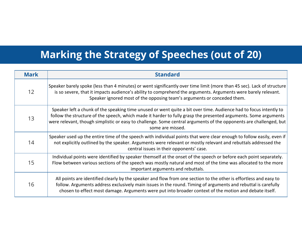### **Marking the Strategy of Speeches (out of 20)**

| <b>Mark</b> | <b>Standard</b>                                                                                                                                                                                                                                                                                                                                                                |
|-------------|--------------------------------------------------------------------------------------------------------------------------------------------------------------------------------------------------------------------------------------------------------------------------------------------------------------------------------------------------------------------------------|
| 12          | Speaker barely spoke (less than 4 minutes) or went significantly over time limit (more than 45 sec). Lack of structure<br>is so severe, that it impacts audience's ability to comprehend the arguments. Arguments were barely relevant.<br>Speaker ignored most of the opposing team's arguments or conceded them.                                                             |
| 13          | Speaker left a chunk of the speaking time unused or went quite a bit over time. Audience had to focus intently to<br>follow the structure of the speech, which made it harder to fully grasp the presented arguments. Some arguments<br>were relevant, though simplistic or easy to challenge. Some central arguments of the opponents are challenged, but<br>some are missed. |
| 14          | Speaker used up the entire time of the speech with individual points that were clear enough to follow easily, even if<br>not explicitly outlined by the speaker. Arguments were relevant or mostly relevant and rebuttals addressed the<br>central issues in their opponents' case.                                                                                            |
| 15          | Individual points were identified by speaker themself at the onset of the speech or before each point separately.<br>Flow between various sections of the speech was mostly natural and most of the time was allocated to the more<br>important arguments and rebuttals.                                                                                                       |
| 16          | All points are identified clearly by the speaker and flow from one section to the other is effortless and easy to<br>follow. Arguments address exclusively main issues in the round. Timing of arguments and rebuttal is carefully<br>chosen to effect most damage. Arguments were put into broader context of the motion and debate itself.                                   |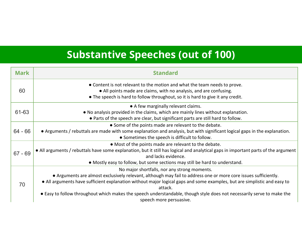## **Substantive Speeches (out of 100)**

| <b>Mark</b> | <b>Standard</b>                                                                                                                                                                                                                                                                                                                                                                                                                                             |
|-------------|-------------------------------------------------------------------------------------------------------------------------------------------------------------------------------------------------------------------------------------------------------------------------------------------------------------------------------------------------------------------------------------------------------------------------------------------------------------|
| 60          | • Content is not relevant to the motion and what the team needs to prove.<br>• All points made are claims, with no analysis, and are confusing.<br>• The speech is hard to follow throughout, so it is hard to give it any credit.                                                                                                                                                                                                                          |
| 61-63       | • A few marginally relevant claims.<br>. No analysis provided in the claims, which are mainly lines without explanation.<br>• Parts of the speech are clear, but significant parts are still hard to follow.                                                                                                                                                                                                                                                |
| 64 - 66     | • Some of the points made are relevant to the debate.<br>• Arguments / rebuttals are made with some explanation and analysis, but with significant logical gaps in the explanation.<br>• Sometimes the speech is difficult to follow.                                                                                                                                                                                                                       |
| $67 - 69$   | • Most of the points made are relevant to the debate.<br>• All arguments / rebuttals have some explanation, but it still has logical and analytical gaps in important parts of the argument<br>and lacks evidence.<br>• Mostly easy to follow, but some sections may still be hard to understand.                                                                                                                                                           |
| 70          | No major shortfalls, nor any strong moments.<br>• Arguments are almost exclusively relevant, although may fail to address one or more core issues sufficiently.<br>• All arguments have sufficient explanation without major logical gaps and some examples, but are simplistic and easy to<br>attack.<br>• Easy to follow throughout which makes the speech understandable, though style does not necessarily serve to make the<br>speech more persuasive. |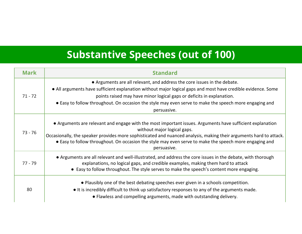## **Substantive Speeches (out of 100)**

| <b>Mark</b> | <b>Standard</b>                                                                                                                                                                                                                                                                                                                                                                            |
|-------------|--------------------------------------------------------------------------------------------------------------------------------------------------------------------------------------------------------------------------------------------------------------------------------------------------------------------------------------------------------------------------------------------|
| $71 - 72$   | • Arguments are all relevant, and address the core issues in the debate.<br>• All arguments have sufficient explanation without major logical gaps and most have credible evidence. Some<br>points raised may have minor logical gaps or deficits in explanation.<br>• Easy to follow throughout. On occasion the style may even serve to make the speech more engaging and<br>persuasive. |
| 73 - 76     | • Arguments are relevant and engage with the most important issues. Arguments have sufficient explanation<br>without major logical gaps.<br>Occasionally, the speaker provides more sophisticated and nuanced analysis, making their arguments hard to attack.<br>• Easy to follow throughout. On occasion the style may even serve to make the speech more engaging and<br>persuasive.    |
| $77 - 79$   | • Arguments are all relevant and well-illustrated, and address the core issues in the debate, with thorough<br>explanations, no logical gaps, and credible examples, making them hard to attack<br>• Easy to follow throughout. The style serves to make the speech's content more engaging.                                                                                               |
| 80          | • Plausibly one of the best debating speeches ever given in a schools competition.<br>• It is incredibly difficult to think up satisfactory responses to any of the arguments made.<br>• Flawless and compelling arguments, made with outstanding delivery.                                                                                                                                |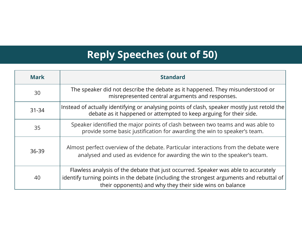### **Reply Speeches (out of 50)**

| <b>Mark</b> | <b>Standard</b>                                                                                                                                                                                                                            |
|-------------|--------------------------------------------------------------------------------------------------------------------------------------------------------------------------------------------------------------------------------------------|
| 30          | The speaker did not describe the debate as it happened. They misunderstood or<br>misrepresented central arguments and responses.                                                                                                           |
| $31 - 34$   | Instead of actually identifying or analysing points of clash, speaker mostly just retold the<br>debate as it happened or attempted to keep arguing for their side.                                                                         |
| 35          | Speaker identified the major points of clash between two teams and was able to<br>provide some basic justification for awarding the win to speaker's team.                                                                                 |
| 36-39       | Almost perfect overview of the debate. Particular interactions from the debate were<br>analysed and used as evidence for awarding the win to the speaker's team.                                                                           |
| 40          | Flawless analysis of the debate that just occurred. Speaker was able to accurately<br>identify turning points in the debate (including the strongest arguments and rebuttal of<br>their opponents) and why they their side wins on balance |